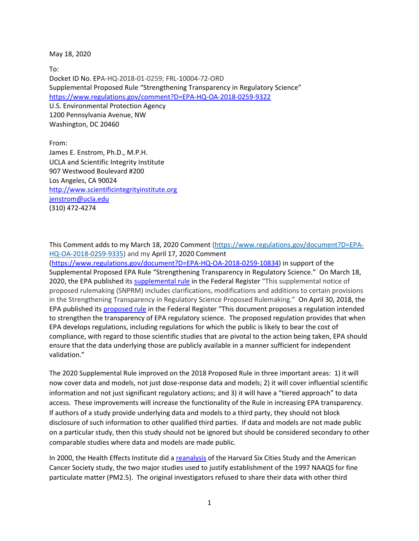May 18, 2020

To: Docket ID No. EPA-HQ-2018-01-0259; FRL-10004-72-ORD Supplemental Proposed Rule "Strengthening Transparency in Regulatory Science" <https://www.regulations.gov/comment?D=EPA-HQ-OA-2018-0259-9322> U.S. Environmental Protection Agency 1200 Pennsylvania Avenue, NW Washington, DC 20460

From: James E. Enstrom, Ph.D., M.P.H. UCLA and Scientific Integrity Institute 907 Westwood Boulevard #200 Los Angeles, CA 90024 [http://www.scientificintegrityinstitute.org](http://www.scientificintegrityinstitute.org/) [jenstrom@ucla.edu](mailto:jenstrom@ucla.edu) (310) 472-4274

This Comment adds to my March 18, 2020 Comment [\(https://www.regulations.gov/document?D=EPA-](https://www.regulations.gov/document?D=EPA-HQ-OA-2018-0259-9335)[HQ-OA-2018-0259-9335\)](https://www.regulations.gov/document?D=EPA-HQ-OA-2018-0259-9335) and my April 17, 2020 Comment

[\(https://www.regulations.gov/document?D=EPA-HQ-OA-2018-0259-10834\)](https://www.regulations.gov/document?D=EPA-HQ-OA-2018-0259-10834) in support of the Supplemental Proposed EPA Rule "Strengthening Transparency in Regulatory Science." On March 18, 2020, the EPA published its [supplemental rule](https://www.regulations.gov/document?D=EPA-HQ-OA-2018-0259-9322) in the Federal Register "This supplemental notice of proposed rulemaking (SNPRM) includes clarifications, modifications and additions to certain provisions in the Strengthening Transparency in Regulatory Science Proposed Rulemaking." On April 30, 2018, the EPA published its [proposed rule](https://www.federalregister.gov/documents/2018/04/30/2018-09078/strengthening-transparency-in-regulatory-science) in the Federal Register "This document proposes a regulation intended to strengthen the transparency of EPA regulatory science. The proposed regulation provides that when EPA develops regulations, including regulations for which the public is likely to bear the cost of compliance, with regard to those scientific studies that are pivotal to the action being taken, EPA should ensure that the data underlying those are publicly available in a manner sufficient for independent validation."

The 2020 Supplemental Rule improved on the 2018 Proposed Rule in three important areas: 1) it will now cover data and models, not just dose-response data and models; 2) it will cover influential scientific information and not just significant regulatory actions; and 3) it will have a "tiered approach" to data access. These improvements will increase the functionality of the Rule in increasing EPA transparency. If authors of a study provide underlying data and models to a third party, they should not block disclosure of such information to other qualified third parties. If data and models are not made public on a particular study, then this study should not be ignored but should be considered secondary to other comparable studies where data and models are made public.

In 2000, the Health Effects Institute did a [reanalysis](https://www.healtheffects.org/publication/reanalysis-harvard-six-cities-study-and-american-cancer-society-study-particulate-air) of the Harvard Six Cities Study and the American Cancer Society study, the two major studies used to justify establishment of the 1997 NAAQS for fine particulate matter (PM2.5). The original investigators refused to share their data with other third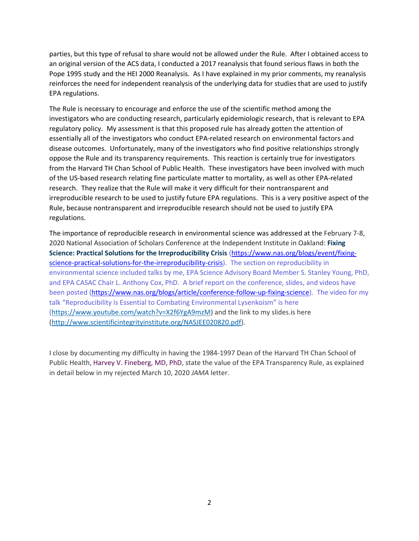parties, but this type of refusal to share would not be allowed under the Rule. After I obtained access to an original version of the ACS data, I conducted a 2017 reanalysis that found serious flaws in both the Pope 1995 study and the HEI 2000 Reanalysis. As I have explained in my prior comments, my reanalysis reinforces the need for independent reanalysis of the underlying data for studies that are used to justify EPA regulations.

The Rule is necessary to encourage and enforce the use of the scientific method among the investigators who are conducting research, particularly epidemiologic research, that is relevant to EPA regulatory policy. My assessment is that this proposed rule has already gotten the attention of essentially all of the investigators who conduct EPA-related research on environmental factors and disease outcomes. Unfortunately, many of the investigators who find positive relationships strongly oppose the Rule and its transparency requirements. This reaction is certainly true for investigators from the Harvard TH Chan School of Public Health. These investigators have been involved with much of the US-based research relating fine particulate matter to mortality, as well as other EPA-related research. They realize that the Rule will make it very difficult for their nontransparent and irreproducible research to be used to justify future EPA regulations. This is a very positive aspect of the Rule, because nontransparent and irreproducible research should not be used to justify EPA regulations.

The importance of reproducible research in environmental science was addressed at the February 7-8, 2020 National Association of Scholars Conference at the Independent Institute in Oakland: **Fixing Science: Practical Solutions for the Irreproducibility Crisis** [\(https://www.nas.org/blogs/event/fixing](https://www.nas.org/blogs/event/fixing-science-practical-solutions-for-the-irreproducibility-crisis)[science-practical-solutions-for-the-irreproducibility-crisis\)](https://www.nas.org/blogs/event/fixing-science-practical-solutions-for-the-irreproducibility-crisis). The section on reproducibility in environmental science included talks by me, EPA Science Advisory Board Member S. Stanley Young, PhD, and EPA CASAC Chair L. Anthony Cox, PhD. A brief report on the conference, slides, and videos have been posted [\(https://www.nas.org/blogs/article/conference-follow-up-fixing-science\)](https://www.nas.org/blogs/article/conference-follow-up-fixing-science). The video for my talk "Reproducibility is Essential to Combating Environmental Lysenkoism" is here [\(https://www.youtube.com/watch?v=X2f6YgA9mzM\)](https://www.youtube.com/watch?v=X2f6YgA9mzM) and the link to my slides.is here [\(http://www.scientificintegrityinstitute.org/NASJEE020820.pdf\)](http://scientificintegrityinstitute.org/NASJEE020820.pdf).

I close by documenting my difficulty in having the 1984-1997 Dean of the Harvard TH Chan School of Public Health, Harvey V. Fineberg, MD, PhD, state the value of the EPA Transparency Rule, as explained in detail below in my rejected March 10, 2020 *JAMA* letter.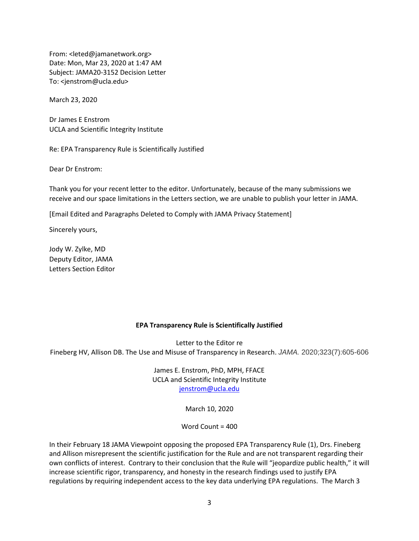From: <leted@jamanetwork.org> Date: Mon, Mar 23, 2020 at 1:47 AM Subject: JAMA20-3152 Decision Letter To: <jenstrom@ucla.edu>

March 23, 2020

Dr James E Enstrom UCLA and Scientific Integrity Institute

Re: EPA Transparency Rule is Scientifically Justified

Dear Dr Enstrom:

Thank you for your recent letter to the editor. Unfortunately, because of the many submissions we receive and our space limitations in the Letters section, we are unable to publish your letter in JAMA.

[Email Edited and Paragraphs Deleted to Comply with JAMA Privacy Statement]

Sincerely yours,

Jody W. Zylke, MD Deputy Editor, JAMA Letters Section Editor

#### **EPA Transparency Rule is Scientifically Justified**

Letter to the Editor re Fineberg HV, Allison DB. The Use and Misuse of Transparency in Research. *JAMA.* 2020;323(7):605-606

> James E. Enstrom, PhD, MPH, FFACE UCLA and Scientific Integrity Institute [jenstrom@ucla.edu](mailto:jenstrom@ucla.edu)

> > March 10, 2020

Word Count = 400

In their February 18 JAMA Viewpoint opposing the proposed EPA Transparency Rule (1), Drs. Fineberg and Allison misrepresent the scientific justification for the Rule and are not transparent regarding their own conflicts of interest. Contrary to their conclusion that the Rule will "jeopardize public health," it will increase scientific rigor, transparency, and honesty in the research findings used to justify EPA regulations by requiring independent access to the key data underlying EPA regulations. The March 3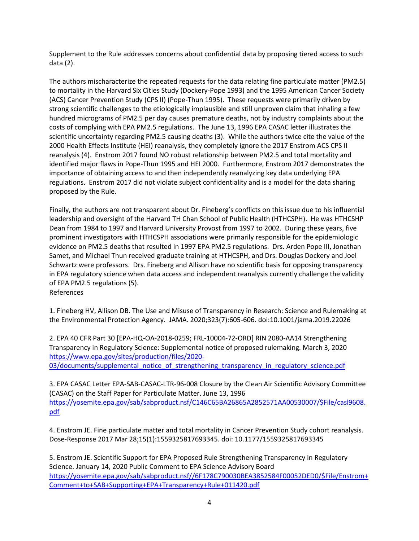Supplement to the Rule addresses concerns about confidential data by proposing tiered access to such data (2).

The authors mischaracterize the repeated requests for the data relating fine particulate matter (PM2.5) to mortality in the Harvard Six Cities Study (Dockery-Pope 1993) and the 1995 American Cancer Society (ACS) Cancer Prevention Study (CPS II) (Pope-Thun 1995). These requests were primarily driven by strong scientific challenges to the etiologically implausible and still unproven claim that inhaling a few hundred micrograms of PM2.5 per day causes premature deaths, not by industry complaints about the costs of complying with EPA PM2.5 regulations. The June 13, 1996 EPA CASAC letter illustrates the scientific uncertainty regarding PM2.5 causing deaths (3). While the authors twice cite the value of the 2000 Health Effects Institute (HEI) reanalysis, they completely ignore the 2017 Enstrom ACS CPS II reanalysis (4). Enstrom 2017 found NO robust relationship between PM2.5 and total mortality and identified major flaws in Pope-Thun 1995 and HEI 2000. Furthermore, Enstrom 2017 demonstrates the importance of obtaining access to and then independently reanalyzing key data underlying EPA regulations. Enstrom 2017 did not violate subject confidentiality and is a model for the data sharing proposed by the Rule.

Finally, the authors are not transparent about Dr. Fineberg's conflicts on this issue due to his influential leadership and oversight of the Harvard TH Chan School of Public Health (HTHCSPH). He was HTHCSHP Dean from 1984 to 1997 and Harvard University Provost from 1997 to 2002. During these years, five prominent investigators with HTHCSPH associations were primarily responsible for the epidemiologic evidence on PM2.5 deaths that resulted in 1997 EPA PM2.5 regulations. Drs. Arden Pope III, Jonathan Samet, and Michael Thun received graduate training at HTHCSPH, and Drs. Douglas Dockery and Joel Schwartz were professors. Drs. Fineberg and Allison have no scientific basis for opposing transparency in EPA regulatory science when data access and independent reanalysis currently challenge the validity of EPA PM2.5 regulations (5). References

1. Fineberg HV, Allison DB. The Use and Misuse of Transparency in Research: Science and Rulemaking at the Environmental Protection Agency. JAMA. 2020;323(7):605-606. doi:10.1001/jama.2019.22026

2. EPA 40 CFR Part 30 [EPA-HQ-OA-2018-0259; FRL-10004-72-ORD] RIN 2080-AA14 Strengthening Transparency in Regulatory Science: Supplemental notice of proposed rulemaking. March 3, 2020 [https://www.epa.gov/sites/production/files/2020-](https://www.epa.gov/sites/production/files/2020-03/documents/supplemental_notice_of_strengthening_transparency_in_regulatory_science.pdf) [03/documents/supplemental\\_notice\\_of\\_strengthening\\_transparency\\_in\\_regulatory\\_science.pdf](https://www.epa.gov/sites/production/files/2020-03/documents/supplemental_notice_of_strengthening_transparency_in_regulatory_science.pdf)

3. EPA CASAC Letter EPA-SAB-CASAC-LTR-96-008 Closure by the Clean Air Scientific Advisory Committee (CASAC) on the Staff Paper for Particulate Matter. June 13, 1996 [https://yosemite.epa.gov/sab/sabproduct.nsf/C146C65BA26865A2852571AA00530007/\\$File/casl9608.](https://yosemite.epa.gov/sab/sabproduct.nsf/C146C65BA26865A2852571AA00530007/$File/casl9608.pdf) [pdf](https://yosemite.epa.gov/sab/sabproduct.nsf/C146C65BA26865A2852571AA00530007/$File/casl9608.pdf)

4. Enstrom JE. Fine particulate matter and total mortality in Cancer Prevention Study cohort reanalysis. Dose-Response 2017 Mar 28;15(1):1559325817693345. doi: 10.1177/1559325817693345

5. Enstrom JE. Scientific Support for EPA Proposed Rule Strengthening Transparency in Regulatory Science. January 14, 2020 Public Comment to EPA Science Advisory Board [https://yosemite.epa.gov/sab/sabproduct.nsf//6F178C790030BEA3852584F00052DED0/\\$File/Enstrom+](https://yosemite.epa.gov/sab/sabproduct.nsf/6F178C790030BEA3852584F00052DED0/$File/Enstrom+Comment+to+SAB+Supporting+EPA+Transparency+Rule+011420.pdf) [Comment+to+SAB+Supporting+EPA+Transparency+Rule+011420.pdf](https://yosemite.epa.gov/sab/sabproduct.nsf/6F178C790030BEA3852584F00052DED0/$File/Enstrom+Comment+to+SAB+Supporting+EPA+Transparency+Rule+011420.pdf)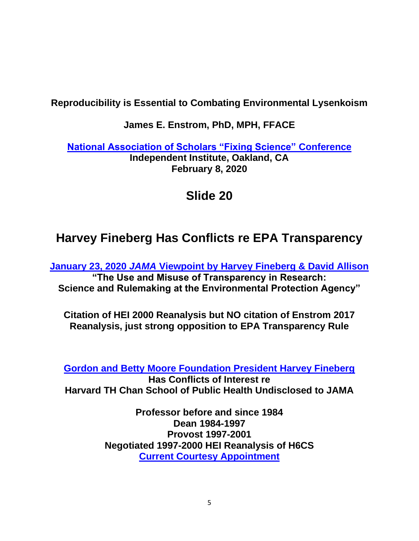### **Reproducibility is Essential to Combating Environmental Lysenkoism**

#### **James E. Enstrom, PhD, MPH, FFACE**

**[National Association of Scholars "Fixing Science"](https://www.nas.org/blogs/event/fixing-science-practical-solutions-for-the-irreproducibility-crisis) Conference Independent Institute, Oakland, CA February 8, 2020**

## **Slide 20**

# **Harvey Fineberg Has Conflicts re EPA Transparency**

**January 23, 2020** *JAMA* **[Viewpoint by Harvey Fineberg & David Allison](https://jamanetwork.com/journals/jama/fullarticle/2759410) "The Use and Misuse of Transparency in Research: Science and Rulemaking at the Environmental Protection Agency"**

**Citation of HEI 2000 Reanalysis but NO citation of Enstrom 2017 Reanalysis, just strong opposition to EPA Transparency Rule**

**[Gordon and Betty Moore Foundation President Harvey Fineberg](https://www.moore.org/people-detail?personUrl=harveyf)**

**Has Conflicts of Interest re Harvard TH Chan School of Public Health Undisclosed to JAMA**

> **Professor before and since 1984 Dean 1984-1997 Provost 1997-2001 Negotiated 1997-2000 HEI Reanalysis of H6CS [Current Courtesy Appointment](https://www.hsph.harvard.edu/harvey-fineberg/)**